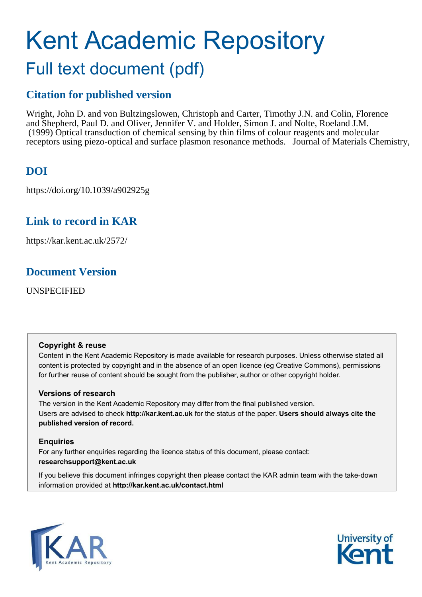# Kent Academic Repository Full text document (pdf)

## **Citation for published version**

Wright, John D. and von Bultzingslowen, Christoph and Carter, Timothy J.N. and Colin, Florence and Shepherd, Paul D. and Oliver, Jennifer V. and Holder, Simon J. and Nolte, Roeland J.M. (1999) Optical transduction of chemical sensing by thin films of colour reagents and molecular receptors using piezo-optical and surface plasmon resonance methods. Journal of Materials Chemistry,

# **DOI**

https://doi.org/10.1039/a902925g

# **Link to record in KAR**

https://kar.kent.ac.uk/2572/

## **Document Version**

UNSPECIFIED

## **Copyright & reuse**

Content in the Kent Academic Repository is made available for research purposes. Unless otherwise stated all content is protected by copyright and in the absence of an open licence (eg Creative Commons), permissions for further reuse of content should be sought from the publisher, author or other copyright holder.

## **Versions of research**

The version in the Kent Academic Repository may differ from the final published version. Users are advised to check **http://kar.kent.ac.uk** for the status of the paper. **Users should always cite the published version of record.**

## **Enquiries**

For any further enquiries regarding the licence status of this document, please contact: **researchsupport@kent.ac.uk**

If you believe this document infringes copyright then please contact the KAR admin team with the take-down information provided at **http://kar.kent.ac.uk/contact.html**



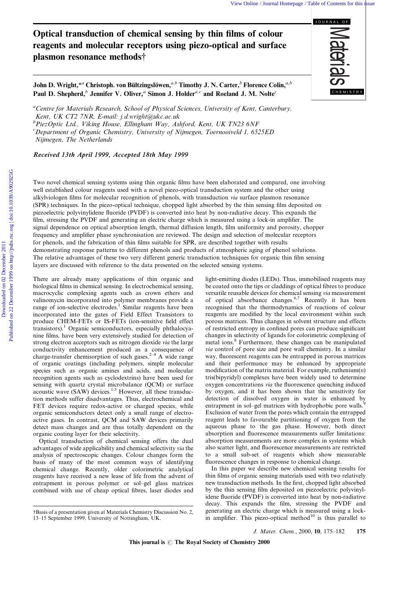## Optical transduction of chemical sensing by thin films of colour reagents and molecular receptors using piezo-optical and surface plasmon resonance methods<sup>†</sup>

John D. Wright, $*^a$  Christoph. von Bültzingslöwen, ${}^{a,b}$  Timothy J. N. Carter, ${}^{b}$  Florence Colin, ${}^{a,b}$ Paul D. Shepherd,<sup>b</sup> Jennifer V. Oliver,<sup>a</sup> Simon J. Holder<sup>a,c</sup> and Roeland J. M. Nolte<sup>c</sup>

<sup>a</sup>Centre for Materials Research, School of Physical Sciences, University of Kent, Canterbury, Kent, UK CT2 7NR, E-mail: j.d.wright@ukc.ac.uk

 ${}^b$ PiezOptic Ltd., Viking House, Ellingham Way, Ashford, Kent, UK TN23 6NF

 $c$ Department of Organic Chemistry, University of Nijmegen, Toernooiveld 1, 6525ED

Nijmegen, The Netherlands

Received 13th April 1999, Accepted 18th May 1999

Two novel chemical sensing systems using thin organic films have been elaborated and compared, one involving well established colour reagents used with a novel piezo-optical transduction system and the other using alkylviologen films for molecular recognition of phenols, with transduction via surface plasmon resonance (SPR) techniques. In the piezo-optical technique, chopped light absorbed by the thin sensing film deposited on piezoelectric polyvinylidene fluoride (PVDF) is converted into heat by non-radiative decay. This expands the film, stressing the PVDF and generating an electric charge which is measured using a lock-in amplifier. The signal dependence on optical absorption length, thermal diffusion length, film uniformity and porosity, chopper frequency and amplifier phase synchronisation are reviewed. The design and selection of molecular receptors for phenols, and the fabrication of thin films suitable for SPR, are described together with results demonstrating response patterns to different phenols and products of atmospheric aging of phenol solutions. The relative advantages of these two very different generic transduction techniques for organic thin film sensing layers are discussed with reference to the data presented on the selected sensing systems.

There are already many applications of thin organic and biological films in chemical sensing. In electrochemical sensing, macrocyclic complexing agents such as crown ethers and valinomycin incorporated into polymer membranes provide a range of ion-selective electrodes.<sup>1</sup> Similar reagents have been incorporated into the gates of Field Effect Transistors to produce CHEM-FETs or IS-FETs (ion-sensitive field effect transistors).<sup>1</sup> Organic semiconductors, especially phthalocyanine films, have been very extensively studied for detection of strong electron acceptors such as nitrogen dioxide via the large conductivity enhancement produced as a consequence of charge-transfer chemisorption of such gases.<sup>2-4</sup> A wide range of organic coatings (including polymers, simple molecular species such as organic amines and acids, and molecular recognition agents such as cyclodextrins) have been used for sensing with quartz crystal microbalance (QCM) or surface acoustic wave  $(SAW)$  devices.<sup>1,5</sup> However, all these transduction methods suffer disadvantages. Thus, electrochemical and FET devices require redox-active or charged species, while organic semiconductors detect only a small range of electroactive gases. In contrast, QCM and SAW devices primarily detect mass changes and are thus totally dependent on the organic coating layer for their selectivity.

Optical transduction of chemical sensing offers the dual advantages of wide applicability and chemical selectivity via the analysis of spectroscopic changes. Colour changes form the basis of many of the most common ways of identifying chemical change. Recently, older colorimetric analytical reagents have received a new lease of life from the advent of entrapment in porous polymer or sol-gel glass matrices combined with use of cheap optical fibres, laser diodes and

light-emitting diodes (LEDs). Thus, immobilised reagents may be coated onto the tips or claddings of optical fibres to produce versatile reusable devices for chemical sensing via measurement of optical absorbance changes.6,7 Recently it has been recognised that the thermodynamics of reactions of colour reagents are modified by the local environment within such porous matrices. Thus changes in solvent structure and effects of restricted entropy in confined pores can produce significant changes in selectivity of ligands for colorimetric complexing of metal ions.<sup>8</sup> Furthermore, these changes can be manipulated via control of pore size and pore wall chemistry. In a similar way, fluorescent reagents can be entrapped in porous matrices and their performance may be enhanced by appropriate modification of the matrix material. For example, ruthenium $(II)$ tris(bipyridyl) complexes have been widely used to determine oxygen concentrations *via* the fluorescence quenching induced by oxygen, and it has been shown that the sensitivity for detection of dissolved oxygen in water is enhanced by entrapment in sol-gel matrices with hydrophobic pore walls. Exclusion of water from the pores which contain the entrapped reagent leads to favourable partitioning of oxygen from the aqueous phase to the gas phase. However, both direct absorption and fluorescence measurements suffer limitations: absorption measurements are more complex in systems which also scatter light, and fluorescence measurements are restricted to a small sub-set of reagents which show measurable fluorescence changes in response to chemical change.

In this paper we describe new chemical sensing results for thin films of organic sensing materials used with two relatively new transduction methods. In the first, chopped light absorbed by the thin sensing film deposited on piezoelectric polyvinylidene fluoride (PVDF) is converted into heat by non-radiative decay. This expands the film, stressing the PVDF and generating an electric charge which is measured using a lockin amplifier. This piezo-optical method<sup>10</sup> is thus parallel to

J. Mater. Chem., 2000, 10, 175-182 175

This journal is  $\odot$  The Royal Society of Chemistry 2000

JOURNAL OF **E**<br>Exercise

<sup>{</sup>Basis of a presentation given at Materials Chemistry Discussion No. 2, 13-15 September 1999, University of Nottingham, UK.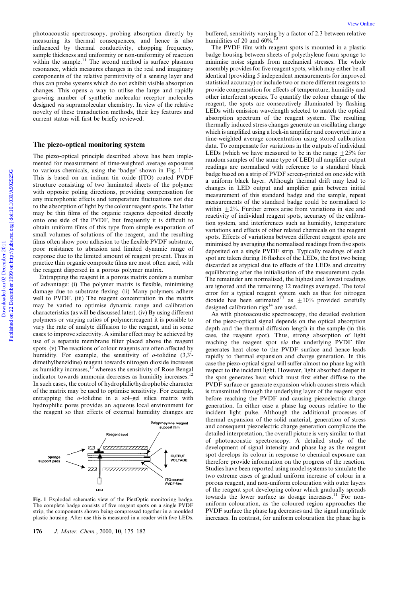photoacoustic spectroscopy, probing absorption directly by measuring its thermal consequences, and hence is also influenced by thermal conductivity, chopping frequency, sample thickness and uniformity or non-uniformity of reaction within the sample.<sup>11</sup> The second method is surface plasmon resonance, which measures changes in the real and imaginary components of the relative permittivity of a sensing layer and thus can probe systems which do not exhibit visible absorption changes. This opens a way to utilise the large and rapidly growing number of synthetic molecular receptor molecules designed via supramolecular chemistry. In view of the relative novelty of these transduction methods, their key features and current status will first be briefly reviewed.

#### The piezo-optical monitoring system

The piezo-optical principle described above has been implemented for measurement of time-weighted average exposures to various chemicals, using the 'badge' shown in Fig. 1.<sup>12,13</sup> This is based on an indium-tin oxide (ITO) coated PVDF structure consisting of two laminated sheets of the polymer with opposite poling directions, providing compensation for any microphonic effects and temperature fluctuations not due to the absorption of light by the colour reagent spots. The latter may be thin films of the organic reagents deposited directly onto one side of the PVDF, but frequently it is difficult to obtain uniform films of this type from simple evaporation of small volumes of solutions of the reagent, and the resulting films often show poor adhesion to the flexible PVDF substrate, poor resistance to abrasion and limited dynamic range of response due to the limited amount of reagent present. Thus in practice thin organic composite films are most often used, with the reagent dispersed in a porous polymer matrix.

Entrapping the reagent in a porous matrix confers a number of advantage: (i) The polymer matrix is flexible, minimising damage due to substrate flexing. (ii) Many polymers adhere well to PVDF. (iii) The reagent concentration in the matrix may be varied to optimise dynamic range and calibration characteristics (as will be discussed later). (iv) By using different polymers or varying ratios of polymer:reagent it is possible to vary the rate of analyte diffusion to the reagent, and in some cases to improve selectivity. A similar effect may be achieved by use of a separate membrane filter placed above the reagent spots. (v) The reactions of colour reagents are often affected by humidity. For example, the sensitivity of  $o$ -tolidine (3,3'dimethylbenzidine) reagent towards nitrogen dioxide increases as humidity increases,  $13$  whereas the sensitivity of Rose Bengal indicator towards ammonia decreases as humidity increases.<sup>12</sup> In such cases, the control of hydrophilic/hydrophobic character of the matrix may be used to optimise sensitivity. For example, entrapping the  $o$ -tolidine in a sol-gel silica matrix with hydrophilic pores provides an aqueous local environment for the reagent so that effects of external humidity changes are



Fig. 1 Exploded schematic view of the PiezOptic monitoring badge. The complete badge consists of five reagent spots on a single PVDF strip, the components shown being compressed together in a moulded plastic housing. After use this is measured in a reader with five LEDs.

buffered, sensitivity varying by a factor of 2.3 between relative humidities of 20 and  $60\%$ .

The PVDF film with reagent spots is mounted in a plastic badge housing between sheets of polyethylene foam sponge to minimise noise signals from mechanical stresses. The whole assembly provides for five reagent spots, which may either be all identical (providing 5 independent measurements for improved statistical accuracy) or include two or more different reagents to provide compensation for effects of temperature, humidity and other interferent species. To quantify the colour change of the reagent, the spots are consecutively illuminated by flashing LEDs with emission wavelength selected to match the optical absorption spectrum of the reagent system. The resulting thermally induced stress changes generate an oscillating charge which is amplified using a lock-in amplifier and converted into a time-weighted average concentration using stored calibration data. To compensate for variations in the outputs of individual LEDs (which we have measured to be in the range  $\pm 25\%$  for random samples of the same type of LED) all amplifier output readings are normalised with reference to a standard black badge based on a strip of PVDF screen-printed on one side with a uniform black layer. Although thermal drift may lead to changes in LED output and amplifier gain between initial measurement of this standard badge and the sample, repeat measurements of the standard badge could be normalised to within  $\pm 2\%$ . Further errors arise from variations in size and reactivity of individual reagent spots, accuracy of the calibration system, and interferences such as humidity, temperature variations and effects of other related chemicals on the reagent spots. Effects of variations between different reagent spots are minimised by averaging the normalised readings from five spots deposited on a single PVDF strip. Typically readings of each spot are taken during 16 flashes of the LEDs, the first two being discarded as atypical due to effects of the LEDs and circuitry equilibrating after the initialisation of the measurement cycle. The remainder are normalised, the highest and lowest readings are ignored and the remaining 12 readings averaged. The total error for a typical reagent system such as that for nitrogen dioxide has been estimated<sup>13</sup> as  $\pm 10\%$  provided carefully designed calibration rigs $14$  are used.

As with photoacoustic spectroscopy, the detailed evolution of the piezo-optical signal depends on the optical absorption depth and the thermal diffusion length in the sample (in this case, the reagent spot). Thus, strong absorption of light reaching the reagent spot via the underlying PVDF film generates heat close to the PVDF surface and hence leads rapidly to thermal expansion and charge generation. In this case the piezo-optical signal will suffer almost no phase lag with respect to the incident light. However, light absorbed deeper in the spot generates heat which must first either diffuse to the PVDF surface or generate expansion which causes stress which is transmitted through the underlying layer of the reagent spot before reaching the PVDF and causing piezoelectric charge generation. In either case a phase lag occurs relative to the incident light pulse. Although the additional processes of thermal expansion of the solid material, generation of stress and consequent piezoelectric charge generation complicate the detailed interpretation, the overall picture is very similar to that of photoacoustic spectroscopy. A detailed study of the development of signal intensity and phase lag as the reagent spot develops its colour in response to chemical exposure can therefore provide information on the progress of the reaction. Studies have been reported using model systems to simulate the two extreme cases of gradual uniform increase of colour in a porous reagent, and non-uniform colouration with outer layers of the reagent spot developing colour which gradually spreads towards the lower surface as dosage increases.<sup>11</sup> For nonuniform colouration, as the coloured region approaches the PVDF surface the phase lag decreases and the signal amplitude increases. In contrast, for uniform colouration the phase lag is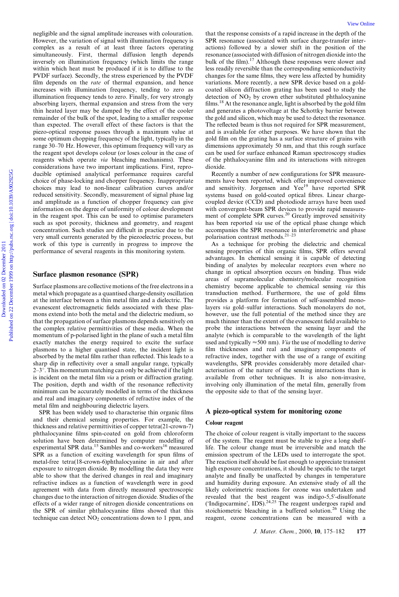negligible and the signal amplitude increases with colouration. However, the variation of signal with illumination frequency is complex as a result of at least three factors operating simultaneously. First, thermal diffusion length depends inversely on illumination frequency (which limits the range within which heat must be produced if it is to diffuse to the PVDF surface). Secondly, the stress experienced by the PVDF film depends on the *rate* of thermal expansion, and hence increases with illumination frequency, tending to zero as illumination frequency tends to zero. Finally, for very strongly absorbing layers, thermal expansion and stress from the very thin heated layer may be damped by the effect of the cooler remainder of the bulk of the spot, leading to a smaller response than expected. The overall effect of these factors is that the piezo-optical response passes through a maximum value at some optimum chopping frequency of the light, typically in the range 30–70 Hz. However, this optimum frequency will vary as the reagent spot develops colour (or loses colour in the case of reagents which operate via bleaching mechanisms). These considerations have two important implications. First, reproducible optimised analytical performance requires careful choice of phase-locking and chopper frequency. Inappropriate choices may lead to non-linear calibration curves and/or reduced sensitivity. Secondly, measurement of signal phase lag and amplitude as a function of chopper frequency can give information on the degree of uniformity of colour development in the reagent spot. This can be used to optimise parameters such as spot porosity, thickness and geometry, and reagent concentration. Such studies are difficult in practice due to the very small currents generated by the piezoelectric process, but work of this type is currently in progress to improve the performance of several reagents in this monitoring system.

#### Surface plasmon resonance (SPR)

Surface plasmons are collective motions of the free electrons in a metal which propagate as a quantised charge-density oscillation at the interface between a thin metal film and a dielectric. The evanescent electromagnetic fields associated with these plasmons extend into both the metal and the dielectric medium, so that the propagation of surface plasmons depends sensitively on the complex relative permittivities of these media. When the momentum of p-polarised light in the plane of such a metal film exactly matches the energy required to excite the surface plasmons to a higher quantised state, the incident light is absorbed by the metal film rather than reflected. This leads to a sharp dip in reflectivity over a small angular range, typically  $2-3^\circ$ . This momentum matching can only be achieved if the light is incident on the metal film via a prism or diffraction grating. The position, depth and width of the resonance reflectivity minimum can be accurately modelled in terms of the thickness and real and imaginary components of refractive index of the metal film and neighbouring dielectric layers.

SPR has been widely used to characterise thin organic films and their chemical sensing properties. For example, the thickness and relative permittivities of copper tetra(21-crown-7) phthalocyanine films spin-coated on gold from chloroform solution have been determined by computer modelling of experimental SPR data.<sup>15</sup> Sambles and co-workers<sup>16</sup> measured SPR as a function of exciting wavelength for spun films of metal-free tetra(18-crown-6)phthalocyanine in air and after exposure to nitrogen dioxide. By modelling the data they were able to show that the derived changes in real and imaginary refractive indices as a function of wavelength were in good agreement with data from directly measured spectroscopic changes due to the interaction of nitrogen dioxide. Studies of the effects of a wider range of nitrogen dioxide concentrations on the SPR of similar phthalocyanine films showed that this technique can detect  $NO<sub>2</sub>$  concentrations down to 1 ppm, and

that the response consists of a rapid increase in the depth of the SPR resonance (associated with surface charge-transfer interactions) followed by a slower shift in the position of the resonance (associated with diffusion of nitrogen dioxide into the bulk of the film).<sup>17</sup> Although these responses were slower and less readily reversible than the corresponding semiconductivity changes for the same films, they were less affected by humidity variations. More recently, a new SPR device based on a goldcoated silicon diffraction grating has been used to study the detection of  $NO<sub>2</sub>$  by crown ether substituted phthalocyanine films.<sup>18</sup> At the resonance angle, light is absorbed by the gold film and generates a photovoltage at the Schottky barrier between the gold and silicon, which may be used to detect the resonance. The reflected beam is thus not required for SPR measurement, and is available for other purposes. We have shown that the gold film on the grating has a surface structure of grains with dimensions approximately 50 nm, and that this rough surface can be used for surface enhanced Raman spectroscopy studies of the phthalocyanine film and its interactions with nitrogen dioxide.

Recently a number of new configurations for SPR measurements have been reported, which offer improved convenience and sensitivity. Jorgensen and Yee<sup>19</sup> have reported SPR systems based on gold-coated optical fibres. Linear chargecoupled device (CCD) and photodiode arrays have been used with convergent-beam SPR devices to provide rapid measurement of complete SPR curves.<sup>20</sup> Greatly improved sensitivity has been reported via use of the optical phase change which accompanies the SPR resonance in interferometric and phase polarisation contrast methods. $2^{1-23}$ 

As a technique for probing the dielectric and chemical sensing properties of thin organic films, SPR offers several advantages. In chemical sensing it is capable of detecting binding of analytes by molecular receptors even where no change in optical absorption occurs on binding. Thus wide areas of supramolecular chemistry/molecular recognition chemistry become applicable to chemical sensing via this transduction method. Furthermore, the use of gold films provides a platform for formation of self-assembled monolayers via gold-sulfur interactions. Such monolayers do not, however, use the full potential of the method since they are much thinner than the extent of the evanescent field available to probe the interactions between the sensing layer and the analyte (which is comparable to the wavelength of the light used and typically  $\approx$  500 nm). *Via* the use of modelling to derive film thicknesses and real and imaginary components of refractive index, together with the use of a range of exciting wavelengths, SPR provides considerably more detailed characterisation of the nature of the sensing interactions than is available from other techniques. It is also non-invasive, involving only illumination of the metal film, generally from the opposite side to that of the sensing layer.

#### A piezo-optical system for monitoring ozone

#### Colour reagent

The choice of colour reagent is vitally important to the success of the system. The reagent must be stable to give a long shelflife. The colour change must be irreversible and match the emission spectrum of the LEDs used to interrogate the spot. The reaction itself should be fast enough to appreciate transient high exposure concentrations, it should be specific to the target analyte and finally be unaffected by changes in temperature and humidity during exposure. An extensive study of all the likely colorimetric reactions for ozone was undertaken and revealed that the best reagent was indigo-5,5'-disulfonate ('Indigocarmine', IDS). $^{24,25}$  The reagent undergoes rapid and stoichiometric bleaching in a buffered solution.<sup>26</sup> Using the reagent, ozone concentrations can be measured with a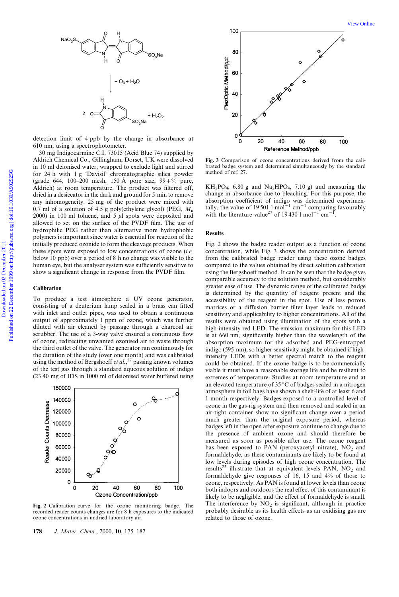

detection limit of 4 ppb by the change in absorbance at 610 nm, using a spectrophotometer.

30 mg Indigocarmine C.I. 73015 (Acid Blue 74) supplied by Aldrich Chemical Co., Gillingham, Dorset, UK were dissolved in 10 ml deionised water, wrapped to exclude light and stirred for 24 h with 1 g `Davisil' chromatographic silica powder (grade 644, 100–200 mesh, 150 Å pore size,  $99 + \%$  pure, Aldrich) at room temperature. The product was filtered off, dried in a desiccator in the dark and ground for 5 min to remove any inhomogeneity. 25 mg of the product were mixed with 0.7 ml of a solution of 4.5 g poly(ethylene glycol) (PEG,  $M<sub>n</sub>$ 2000) in 100 ml toluene, and 5  $\mu$ l spots were deposited and allowed to set on the surface of the PVDF film. The use of hydrophilic PEG rather than alternative more hydrophobic polymers is important since water is essential for reaction of the initially produced ozonide to form the cleavage products. When these spots were exposed to low concentrations of ozone  $(i.e.$ below 10 ppb) over a period of 8 h no change was visible to the human eye, but the analyser system was sufficiently sensitive to show a significant change in response from the PVDF film.

#### **Calibration**

To produce a test atmosphere a UV ozone generator, consisting of a deuterium lamp sealed in a brass can fitted with inlet and outlet pipes, was used to obtain a continuous output of approximately 1 ppm of ozone, which was further diluted with air cleaned by passage through a charcoal air scrubber. The use of a 3-way valve ensured a continuous flow of ozone, redirecting unwanted ozonised air to waste through the third outlet of the valve. The generator ran continuously for the duration of the study (over one month) and was calibrated using the method of Bergshoeff et al.,<sup>27</sup> passing known volumes of the test gas through a standard aqueous solution of indigo (23.40 mg of IDS in 1000 ml of deionised water buffered using



Fig. 2 Calibration curve for the ozone monitoring badge. The recorded reader counts changes are for 8 h exposures to the indicated ozone concentrations in undried laboratory air.

178 J. Mater. Chem., 2000, 10, 175-182



Fig. 3 Comparison of ozone concentrations derived from the calibrated badge system and determined simultaneously by the standard method of ref. 27.

 $KH_2PO_4$ , 6.80 g and Na<sub>2</sub>HPO<sub>4</sub>, 7.10 g) and measuring the change in absorbance due to bleaching. For this purpose, the absorption coefficient of indigo was determined experimentally, the value of 19 501 1 mol<sup>-1</sup> cm<sup>-1</sup> comparing favourably<br>with the literature value<sup>27</sup> of 19 430 1 mol<sup>-1</sup> cm<sup>-1</sup>.

#### Results

Fig. 2 shows the badge reader output as a function of ozone concentration, while Fig. 3 shows the concentration derived from the calibrated badge reader using these ozone badges compared to the values obtained by direct solution calibration using the Bergshoeff method. It can be seen that the badge gives comparable accuracy to the solution method, but considerably greater ease of use. The dynamic range of the calibrated badge is determined by the quantity of reagent present and the accessibility of the reagent in the spot. Use of less porous matrices or a diffusion barrier filter layer leads to reduced sensitivity and applicability to higher concentrations. All of the results were obtained using illumination of the spots with a high-intensity red LED. The emission maximum for this LED is at 660 nm, significantly higher than the wavelength of the absorption maximum for the adsorbed and PEG-entrapped indigo (595 nm), so higher sensitivity might be obtained if highintensity LEDs with a better spectral match to the reagent could be obtained. If the ozone badge is to be commercially viable it must have a reasonable storage life and be resilient to extremes of temperature. Studies at room temperature and at an elevated temperature of 35  $\degree$ C of badges sealed in a nitrogen atmosphere in foil bags have shown a shelf-life of at least 6 and 1 month respectively. Badges exposed to a controlled level of ozone in the gas-rig system and then removed and sealed in an air-tight container show no significant change over a period much greater than the original exposure period, whereas badges left in the open after exposure continue to change due to the presence of ambient ozone and should therefore be measured as soon as possible after use. The ozone reagent has been exposed to PAN (peroxyacetyl nitrate),  $NO<sub>2</sub>$  and formaldehyde, as these contaminants are likely to be found at low levels during episodes of high ozone concentration. The results<sup>25</sup> illustrate that at equivalent levels PAN,  $NO<sub>2</sub>$  and formaldehyde give responses of 16, 15 and 4% of those to ozone, respectively. As PAN is found at lower levels than ozone both indoors and outdoors the real effect of this contaminant is likely to be negligible, and the effect of formaldehyde is small. The interference by  $NO<sub>2</sub>$  is significant, although in practice probably desirable as its health effects as an oxidising gas are related to those of ozone.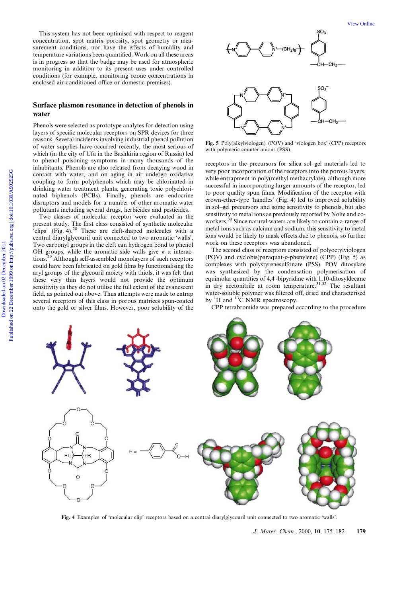This system has not been optimised with respect to reagent concentration, spot matrix porosity, spot geometry or measurement conditions, nor have the effects of humidity and temperature variations been quantified. Work on all these areas is in progress so that the badge may be used for atmospheric monitoring in addition to its present uses under controlled conditions (for example, monitoring ozone concentrations in enclosed air-conditioned office or domestic premises).

#### Surface plasmon resonance in detection of phenols in water

Phenols were selected as prototype analytes for detection using layers of specific molecular receptors on SPR devices for three reasons. Several incidents involving industrial phenol pollution of water supplies have occurred recently, the most serious of which (in the city of Ufa in the Bashkiria region of Russia) led to phenol poisoning symptoms in many thousands of the inhabitants. Phenols are also released from decaying wood in contact with water, and on aging in air undergo oxidative coupling to form polyphenols which may be chlorinated in drinking water treatment plants, generating toxic polychlorinated biphenols (PCBs). Finally, phenols are endocrine disruptors and models for a number of other aromatic water pollutants including several drugs, herbicides and pesticides.

Two classes of molecular receptor were evaluated in the present study. The first class consisted of synthetic molecular 'clips' (Fig. 4). $28$  These are cleft-shaped molecules with a central diarylglycouril unit connected to two aromatic `walls'. Two carbonyl groups in the cleft can hydrogen bond to phenol OH groups, while the aromatic side walls give  $\pi-\pi$  interactions.<sup>29</sup> Although self-assembled monolayers of such receptors could have been fabricated on gold films by functionalising the aryl groups of the glycouril moiety with thiols, it was felt that these very thin layers would not provide the optimum sensitivity as they do not utilise the full extent of the evanescent field, as pointed out above. Thus attempts were made to entrap several receptors of this class in porous matrices spun-coated onto the gold or silver films. However, poor solubility of the



Fig. 5 Poly(alkylviologen) (POV) and 'viologen box' (CPP) receptors with polymeric counter anions (PSS).

receptors in the precursors for silica sol-gel materials led to very poor incorporation of the receptors into the porous layers, while entrapment in poly(methyl methacrylate), although more successful in incorporating larger amounts of the receptor, led to poor quality spun films. Modification of the receptor with crown-ether-type `handles' (Fig. 4) led to improved solubility in sol-gel precursors and some sensitivity to phenols, but also sensitivity to metal ions as previously reported by Nolte and coworkers.<sup>30</sup> Since natural waters are likely to contain a range of metal ions such as calcium and sodium, this sensitivity to metal ions would be likely to mask effects due to phenols, so further work on these receptors was abandoned.

The second class of receptors consisted of polyoctylviologen (POV) and cyclobis(paraquat-p-phenylene) (CPP) (Fig. 5) as complexes with polystyrenesulfonate (PSS). POV ditosylate was synthesized by the condensation polymerisation of equimolar quantities of 4,4'-bipyridine with 1,10-ditosyldecane in dry acetonitrile at room temperature.<sup>31,32</sup> The resultant water-soluble polymer was filtered off, dried and characterised by  ${}^{1}H$  and  ${}^{13}C$  NMR spectroscopy.

CPP tetrabromide was prepared according to the procedure



Fig. 4 Examples of 'molecular clip' receptors based on a central diarylglycouril unit connected to two aromatic 'walls'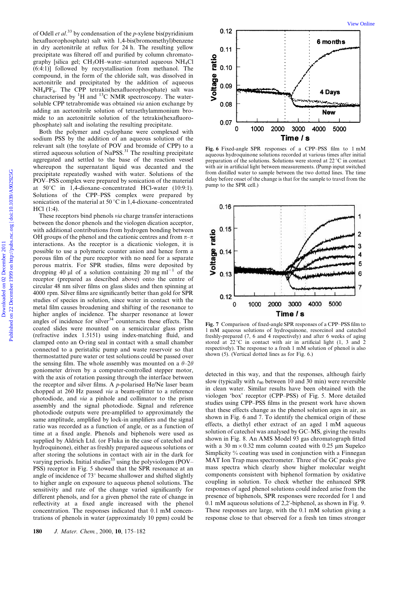of Odell *et al.*<sup>33</sup> by condensation of the *p*-xylene bis(pyridinium hexafluorophosphate) salt with 1,4-bis(bromomethyl)benzene in dry acetonitrile at reflux for 24 h. The resulting yellow precipitate was filtered off and purified by column chromatography [silica gel;  $CH_3OH$ -water-saturated aqueous NH<sub>4</sub>Cl (6:4:1)] followed by recrystallisation from methanol. The compound, in the form of the chloride salt, was dissolved in acetonitrile and precipitated by the addition of aqueous  $NH_4PF_6$ . The CPP tetrakis(hexafluorophosphate) salt was characterised by  ${}^{1}H$  and  ${}^{13}C$  NMR spectroscopy. The watersoluble CPP tetrabromide was obtained via anion exchange by adding an acetonitrile solution of tetraethylammonium bromide to an acetonitrile solution of the tetrakis(hexafluorophosphate) salt and isolating the resulting precipitate.

Both the polymer and cyclophane were complexed with sodium PSS by the addition of an aqueous solution of the relevant salt (the tosylate of POV and bromide of CPP) to a stirred aqueous solution of NaPSS.<sup>31</sup> The resulting precipitate aggregated and settled to the base of the reaction vessel whereupon the supernatant liquid was decanted and the precipitate repeatedly washed with water. Solutions of the POV–PSS complex were prepared by sonication of the material at  $50^{\circ}$ C in 1,4-dioxane-concentrated HCl-water (10:9:1). Solutions of the CPP-PSS complex were prepared by sonication of the material at 50  $\mathrm{^{\circ}C}$  in 1,4-dioxane-concentrated HCl (1:4).

These receptors bind phenols via charge transfer interactions between the donor phenols and the viologen dication acceptor, with additional contributions from hydrogen bonding between OH groups of the phenol and the cationic centres and from  $\pi-\pi$ interactions. As the receptor is a dicationic viologen, it is possible to use a polymeric counter anion and hence form a porous film of the pure receptor with no need for a separate porous matrix. For SPR studies, films were deposited by dropping 40  $\mu$ l of a solution containing 20 mg ml<sup>-1</sup> of the receptor (prepared as described above) onto the centre of circular 48 nm silver films on glass slides and then spinning at 4000 rpm. Silver films are significantly better than gold for SPR studies of species in solution, since water in contact with the metal film causes broadening and shifting of the resonance to higher angles of incidence. The sharper resonance at lower angles of incidence for silver $34$  counteracts these effects. The coated slides were mounted on a semicircular glass prism  $(refractive$  index  $1.5151$ ) using index-matching fluid, and clamped onto an O-ring seal in contact with a small chamber connected to a peristaltic pump and waste reservoir so that thermostatted pure water or test solutions could be passed over the sensing film. The whole assembly was mounted on a  $\theta$ -2 $\theta$ goniometer driven by a computer-controlled stepper motor, with the axis of rotation passing through the interface between the receptor and silver films. A  $p$ -polarised He/Ne laser beam chopped at 260 Hz passed via a beam-splitter to a reference photodiode, and via a pinhole and collimator to the prism assembly and the signal photodiode. Signal and reference photodiode outputs were pre-amplified to approximately the same amplitude, amplified by lock-in amplifiers and the signal ratio was recorded as a function of angle, or as a function of time at a fixed angle. Phenols and biphenols were used as supplied by Aldrich Ltd. (or Fluka in the case of catechol and hydroquinone), either as freshly prepared aqueous solutions or after storing the solutions in contact with air in the dark for varying periods. Initial studies<sup>35</sup> using the polyviologen (POV $-$ PSS) receptor in Fig. 5 showed that the SPR resonance at an angle of incidence of  $73^\circ$  became shallower and shifted slightly to higher angle on exposure to aqueous phenol solutions. The sensitivity and rate of the change varied significantly for different phenols, and for a given phenol the rate of change in reflectivity at a fixed angle increased with the phenol concentration. The responses indicated that 0.1 mM concentrations of phenols in water (approximately 10 ppm) could be



Fig. 6 Fixed-angle SPR responses of a CPP-PSS film to 1 mM aqueous hydroquinone solutions recorded at various times after initial preparation of the solutions. Solutions were stored at  $22^{\circ}$ C in contact with air in artificial light between measurements. (Pump input switched from distilled water to sample between the two dotted lines. The time delay before onset of the change is that for the sample to travel from the pump to the SPR cell.)



Fig. 7 Comparison of fixed-angle SPR responses of a CPP-PSS film to 1 mM aqueous solutions of hydroquinone, resorcinol and catechol freshly-prepared (7, 6 and 4 respectively) and after 6 weeks of aging stored at  $22^{\circ}$ C in contact with air in artificial light (1, 3 and 2 respectively). The response to a fresh 1 mM solution of phenol is also shown (5). (Vertical dotted lines as for Fig. 6.)

detected in this way, and that the responses, although fairly slow (typically with  $t_{90}$  between 10 and 30 min) were reversible in clean water. Similar results have been obtained with the viologen 'box' receptor (CPP-PSS) of Fig. 5. More detailed studies using CPP-PSS films in the present work have shown that these effects change as the phenol solution ages in air, as shown in Fig. 6 and 7. To identify the chemical origin of these effects, a diethyl ether extract of an aged 1 mM aqueous solution of catechol was analysed by GC-MS, giving the results shown in Fig. 8. An AMS Model 93 gas chromatograph fitted with a 30 m $\times$  0.32 mm column coated with 0.25 µm Supelco Simplicity % coating was used in conjunction with a Finnegan MAT Ion Trap mass spectrometer. Three of the GC peaks give mass spectra which clearly show higher molecular weight components consistent with biphenol formation by oxidative coupling in solution. To check whether the enhanced SPR responses of aged phenol solutions could indeed arise from the presence of biphenols, SPR responses were recorded for 1 and 0.1 mM aqueous solutions of 2,2'-biphenol, as shown in Fig. 9. These responses are large, with the 0.1 mM solution giving a response close to that observed for a fresh ten times stronger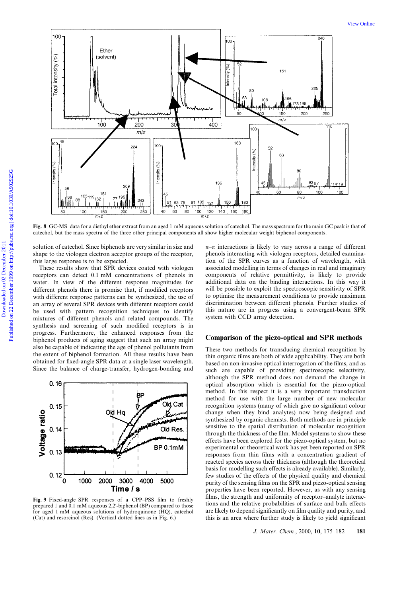

Fig. 8 GC-MS data for a diethyl ether extract from an aged 1 mM aqueous solution of catechol. The mass spectrum for the main GC peak is that of catechol, but the mass spectra of the three other principal components all show higher molecular weight biphenol components.

solution of catechol. Since biphenols are very similar in size and shape to the viologen electron acceptor groups of the receptor, this large response is to be expected.

These results show that SPR devices coated with viologen receptors can detect 0.1 mM concentrations of phenols in water. In view of the different response magnitudes for different phenols there is promise that, if modified receptors with different response patterns can be synthesized, the use of an array of several SPR devices with different receptors could be used with pattern recognition techniques to identify mixtures of different phenols and related compounds. The synthesis and screening of such modified receptors is in progress. Furthermore, the enhanced responses from the biphenol products of aging suggest that such an array might also be capable of indicating the age of phenol pollutants from the extent of biphenol formation. All these results have been obtained for fixed-angle SPR data at a single laser wavelength. Since the balance of charge-transfer, hydrogen-bonding and



Fig. 9 Fixed-angle SPR responses of a CPP-PSS film to freshly prepared 1 and 0.1 mM aqueous 2,2'-biphenol (BP) compared to those for aged 1 mM aqueous solutions of hydroquinone (HQ), catechol (Cat) and resorcinol (Res). (Vertical dotted lines as in Fig. 6.)

 $\pi-\pi$  interactions is likely to vary across a range of different phenols interacting with viologen receptors, detailed examination of the SPR curves as a function of wavelength, with associated modelling in terms of changes in real and imaginary components of relative permittivity, is likely to provide additional data on the binding interactions. In this way it will be possible to exploit the spectroscopic sensitivity of SPR to optimise the measurement conditions to provide maximum discrimination between different phenols. Further studies of this nature are in progress using a convergent-beam SPR system with CCD array detection.

#### Comparison of the piezo-optical and SPR methods

These two methods for transducing chemical recognition by thin organic films are both of wide applicability. They are both based on non-invasive optical interrogation of the films, and as such are capable of providing spectroscopic selectivity, although the SPR method does not demand the change in optical absorption which is essential for the piezo-optical method. In this respect it is a very important transduction method for use with the large number of new molecular recognition systems (many of which give no significant colour change when they bind analytes) now being designed and synthesized by organic chemists. Both methods are in principle sensitive to the spatial distribution of molecular recognition through the thickness of the film. Model systems to show these effects have been explored for the piezo-optical system, but no experimental or theoretical work has yet been reported on SPR responses from thin films with a concentration gradient of reacted species across their thickness (although the theoretical basis for modelling such effects is already available). Similarly, few studies of the effects of the physical quality and chemical purity of the sensing films on the SPR and piezo-optical sensing properties have been reported. However, as with any sensing films, the strength and uniformity of receptor-analyte interactions and the relative probabilities of surface and bulk effects are likely to depend significantly on film quality and purity, and this is an area where further study is likely to yield significant

J. Mater. Chem., 2000, 10, 175-182 181